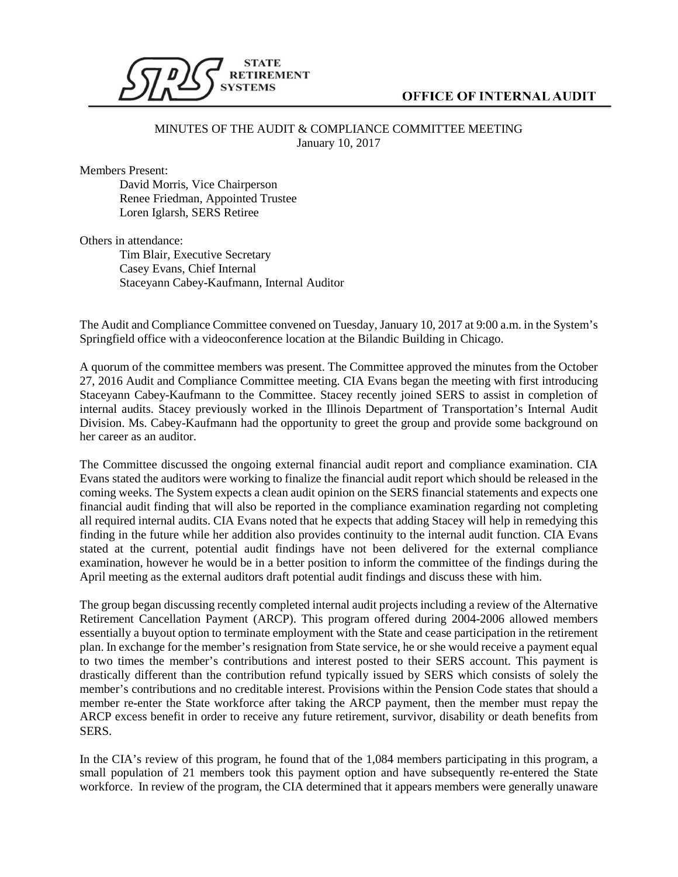

## **OFFICE OF INTERNAL AUDIT**

## MINUTES OF THE AUDIT & COMPLIANCE COMMITTEE MEETING January 10, 2017

Members Present:

David Morris, Vice Chairperson Renee Friedman, Appointed Trustee Loren Iglarsh, SERS Retiree

Others in attendance:

Tim Blair, Executive Secretary Casey Evans, Chief Internal Staceyann Cabey-Kaufmann, Internal Auditor

The Audit and Compliance Committee convened on Tuesday, January 10, 2017 at 9:00 a.m. in the System's Springfield office with a videoconference location at the Bilandic Building in Chicago.

A quorum of the committee members was present. The Committee approved the minutes from the October 27, 2016 Audit and Compliance Committee meeting. CIA Evans began the meeting with first introducing Staceyann Cabey-Kaufmann to the Committee. Stacey recently joined SERS to assist in completion of internal audits. Stacey previously worked in the Illinois Department of Transportation's Internal Audit Division. Ms. Cabey-Kaufmann had the opportunity to greet the group and provide some background on her career as an auditor.

The Committee discussed the ongoing external financial audit report and compliance examination. CIA Evans stated the auditors were working to finalize the financial audit report which should be released in the coming weeks. The System expects a clean audit opinion on the SERS financial statements and expects one financial audit finding that will also be reported in the compliance examination regarding not completing all required internal audits. CIA Evans noted that he expects that adding Stacey will help in remedying this finding in the future while her addition also provides continuity to the internal audit function. CIA Evans stated at the current, potential audit findings have not been delivered for the external compliance examination, however he would be in a better position to inform the committee of the findings during the April meeting as the external auditors draft potential audit findings and discuss these with him.

The group began discussing recently completed internal audit projects including a review of the Alternative Retirement Cancellation Payment (ARCP). This program offered during 2004-2006 allowed members essentially a buyout option to terminate employment with the State and cease participation in the retirement plan. In exchange for the member's resignation from State service, he or she would receive a payment equal to two times the member's contributions and interest posted to their SERS account. This payment is drastically different than the contribution refund typically issued by SERS which consists of solely the member's contributions and no creditable interest. Provisions within the Pension Code states that should a member re-enter the State workforce after taking the ARCP payment, then the member must repay the ARCP excess benefit in order to receive any future retirement, survivor, disability or death benefits from SERS.

In the CIA's review of this program, he found that of the 1,084 members participating in this program, a small population of 21 members took this payment option and have subsequently re-entered the State workforce. In review of the program, the CIA determined that it appears members were generally unaware